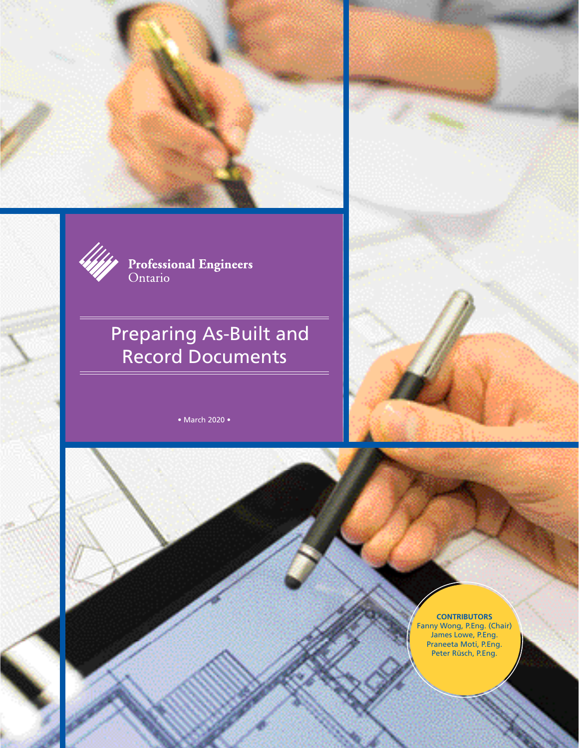



**Professional Engineers**<br>Ontario

# Preparing As-Built and Record Documents

• March 2020 •



#### **CONTRIBUTORS**

Fanny Wong, P.Eng. (Chair) James Lowe, P.Eng. Praneeta Moti, P.Eng. Peter Rüsch, P.Eng.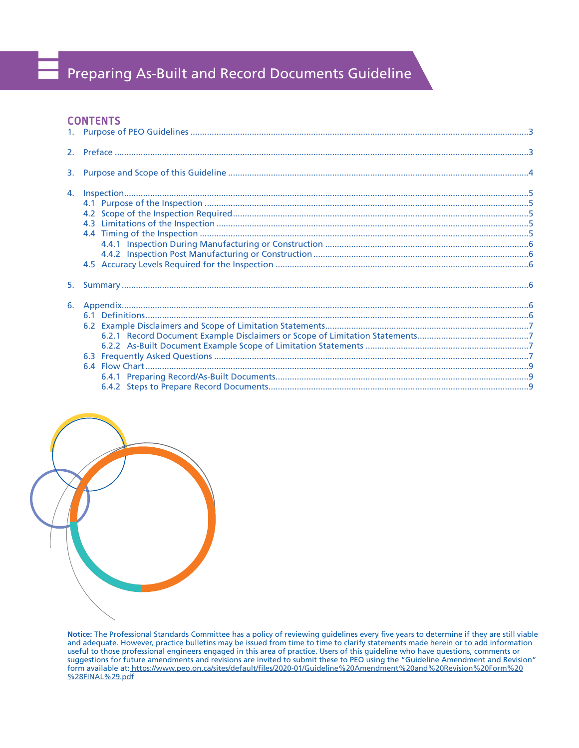# Preparing As-Built and Record Documents Guideline

## **CONTENTS**



**Notice:** The Professional Standards Committee has a policy of reviewing guidelines every five years to determine if they are still viable and adequate. However, practice bulletins may be issued from time to time to clarify statements made herein or to add information useful to those professional engineers engaged in this area of practice. Users of this guideline who have questions, comments or suggestions for future amendments and revisions are invited to submit these to PEO using the "Guideline Amendment and Revision" form available at[: https://www.peo.on.ca/sites/default/files/2020-01/Guideline%20Amendment%20and%20Revision%20Form%20](https://www.peo.on.ca/sites/default/files/2020-01/Guideline%20Amendment%20and%20Revision%20Form%20%28FINAL%29.pdf) [%28FINAL%29.pdf](https://www.peo.on.ca/sites/default/files/2020-01/Guideline%20Amendment%20and%20Revision%20Form%20%28FINAL%29.pdf)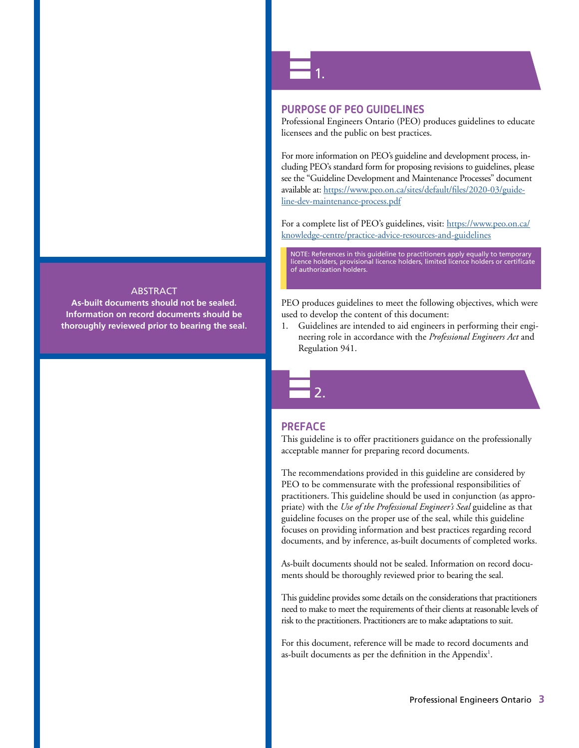# ABSTRACT

**As-built documents should not be sealed. Information on record documents should be thoroughly reviewed prior to bearing the seal.** 1.

#### **PURPOSE OF PEO GUIDELINES**

Professional Engineers Ontario (PEO) produces guidelines to educate licensees and the public on best practices.

For more information on PEO's guideline and development process, including PEO's standard form for proposing revisions to guidelines, please see the "Guideline Development and Maintenance Processes" document available at[: https://www.peo.on.ca/sites/default/files/2020-03/guide](https://www.peo.on.ca/sites/default/files/2020-03/guideline-dev-maintenance-process.pdf)[line-dev-maintenance-process.pdf](https://www.peo.on.ca/sites/default/files/2020-03/guideline-dev-maintenance-process.pdf)

For a complete list of PEO's guidelines, visit: [https://www.peo.on.ca/](https://www.peo.on.ca/knowledge-centre/practice-advice-resources-and-guidelines) [knowledge-centre/practice-advice-resources-and-guidelines](https://www.peo.on.ca/knowledge-centre/practice-advice-resources-and-guidelines)

NOTE: References in this guideline to practitioners apply equally to temporary licence holders, provisional licence holders, limited licence holders or certificate of authorization holders.

PEO produces guidelines to meet the following objectives, which were used to develop the content of this document:

1. Guidelines are intended to aid engineers in performing their engineering role in accordance with the *Professional Engineers Act* and Regulation 941.

#### **PREFACE**

2.

This guideline is to offer practitioners guidance on the professionally acceptable manner for preparing record documents.

The recommendations provided in this guideline are considered by PEO to be commensurate with the professional responsibilities of practitioners. This guideline should be used in conjunction (as appropriate) with the *Use of the Professional Engineer's Seal* guideline as that guideline focuses on the proper use of the seal, while this guideline focuses on providing information and best practices regarding record documents, and by inference, as-built documents of completed works.

As-built documents should not be sealed. Information on record documents should be thoroughly reviewed prior to bearing the seal.

This guideline provides some details on the considerations that practitioners need to make to meet the requirements of their clients at reasonable levels of risk to the practitioners. Practitioners are to make adaptations to suit.

For this document, reference will be made to record documents and as-built documents as per the definition in the Appendix<sup>1</sup>.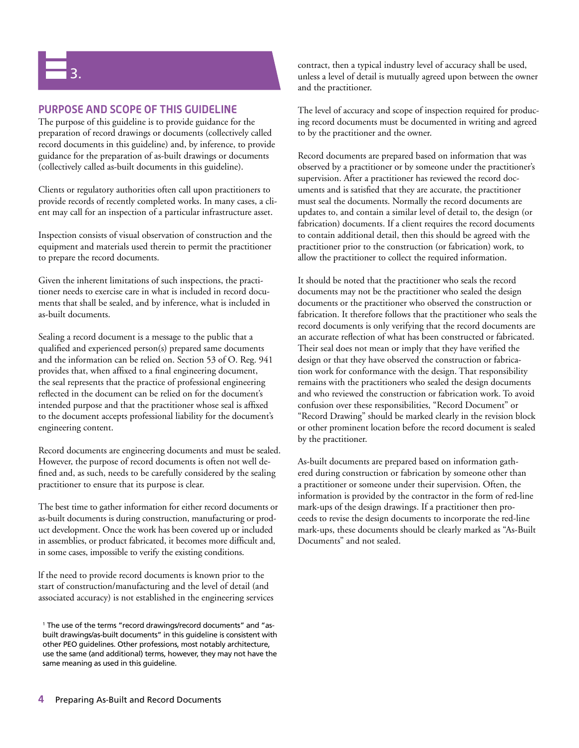# 3.

# **PURPOSE AND SCOPE OF THIS GUIDELINE**

The purpose of this guideline is to provide guidance for the preparation of record drawings or documents (collectively called record documents in this guideline) and, by inference, to provide guidance for the preparation of as-built drawings or documents (collectively called as-built documents in this guideline).

Clients or regulatory authorities often call upon practitioners to provide records of recently completed works. In many cases, a client may call for an inspection of a particular infrastructure asset.

Inspection consists of visual observation of construction and the equipment and materials used therein to permit the practitioner to prepare the record documents.

Given the inherent limitations of such inspections, the practitioner needs to exercise care in what is included in record documents that shall be sealed, and by inference, what is included in as-built documents.

Sealing a record document is a message to the public that a qualified and experienced person(s) prepared same documents and the information can be relied on. Section 53 of O. Reg. 941 provides that, when affixed to a final engineering document, the seal represents that the practice of professional engineering reflected in the document can be relied on for the document's intended purpose and that the practitioner whose seal is affixed to the document accepts professional liability for the document's engineering content.

Record documents are engineering documents and must be sealed. However, the purpose of record documents is often not well defined and, as such, needs to be carefully considered by the sealing practitioner to ensure that its purpose is clear.

The best time to gather information for either record documents or as-built documents is during construction, manufacturing or product development. Once the work has been covered up or included in assemblies, or product fabricated, it becomes more difficult and, in some cases, impossible to verify the existing conditions.

lf the need to provide record documents is known prior to the start of construction/manufacturing and the level of detail (and associated accuracy) is not established in the engineering services contract, then a typical industry level of accuracy shall be used, unless a level of detail is mutually agreed upon between the owner and the practitioner.

The level of accuracy and scope of inspection required for producing record documents must be documented in writing and agreed to by the practitioner and the owner.

Record documents are prepared based on information that was observed by a practitioner or by someone under the practitioner's supervision. After a practitioner has reviewed the record documents and is satisfied that they are accurate, the practitioner must seal the documents. Normally the record documents are updates to, and contain a similar level of detail to, the design (or fabrication) documents. If a client requires the record documents to contain additional detail, then this should be agreed with the practitioner prior to the construction (or fabrication) work, to allow the practitioner to collect the required information.

It should be noted that the practitioner who seals the record documents may not be the practitioner who sealed the design documents or the practitioner who observed the construction or fabrication. It therefore follows that the practitioner who seals the record documents is only verifying that the record documents are an accurate reflection of what has been constructed or fabricated. Their seal does not mean or imply that they have verified the design or that they have observed the construction or fabrication work for conformance with the design. That responsibility remains with the practitioners who sealed the design documents and who reviewed the construction or fabrication work. To avoid confusion over these responsibilities, "Record Document" or "Record Drawing" should be marked clearly in the revision block or other prominent location before the record document is sealed by the practitioner.

As-built documents are prepared based on information gathered during construction or fabrication by someone other than a practitioner or someone under their supervision. Often, the information is provided by the contractor in the form of red-line mark-ups of the design drawings. If a practitioner then proceeds to revise the design documents to incorporate the red-line mark-ups, these documents should be clearly marked as "As-Built Documents" and not sealed.

<sup>1</sup> The use of the terms "record drawings/record documents" and "asbuilt drawings/as-built documents" in this guideline is consistent with other PEO guidelines. Other professions, most notably architecture, use the same (and additional) terms, however, they may not have the same meaning as used in this guideline.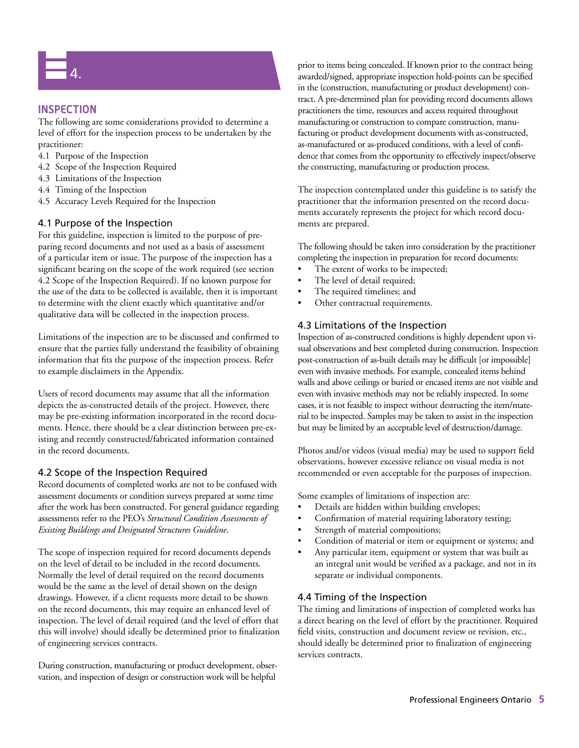

## **INSPECTION**

The following are some considerations provided to determine a level of effort for the inspection process to be undertaken by the practitioner:

- 4.1 Purpose of the Inspection
- 4.2 Scope of the Inspection Required
- 4.3 Limitations of the Inspection
- 4.4 Timing of the Inspection
- 4.5 Accuracy Levels Required for the Inspection

#### 4.1 Purpose of the Inspection

For this guideline, inspection is limited to the purpose of preparing record documents and not used as a basis of assessment of a particular item or issue. The purpose of the inspection has a significant bearing on the scope of the work required (see section 4.2 Scope of the Inspection Required). If no known purpose for the use of the data to be collected is available, then it is important to determine with the client exactly which quantitative and/or qualitative data will be collected in the inspection process.

Limitations of the inspection are to be discussed and confirmed to ensure that the parties fully understand the feasibility of obtaining information that fits the purpose of the inspection process. Refer to example disclaimers in the Appendix.

Users of record documents may assume that all the information depicts the as-constructed details of the project. However, there may be pre-existing information incorporated in the record documents. Hence, there should be a clear distinction between pre-existing and recently constructed/fabricated information contained in the record documents.

#### 4.2 Scope of the Inspection Required

Record documents of completed works are not to be confused with assessment documents or condition surveys prepared at some time after the work has been constructed. For general guidance regarding assessments refer to the PEO's *Structural Condition Assessments of Existing Buildings and Designated Structures Guideline*.

The scope of inspection required for record documents depends on the level of detail to be included in the record documents. Normally the level of detail required on the record documents would be the same as the level of detail shown on the design drawings. However, if a client requests more detail to be shown on the record documents, this may require an enhanced level of inspection. The level of detail required (and the level of effort that this will involve) should ideally be determined prior to finalization of engineering services contracts.

During construction, manufacturing or product development, observation, and inspection of design or construction work will be helpful

prior to items being concealed. If known prior to the contract being awarded/signed, appropriate inspection hold-points can be specified in the (construction, manufacturing or product development) contract. A pre-determined plan for providing record documents allows practitioners the time, resources and access required throughout manufacturing or construction to compare construction, manufacturing or product development documents with as-constructed, as-manufactured or as-produced conditions, with a level of confidence that comes from the opportunity to effectively inspect/observe the constructing, manufacturing or production process.

The inspection contemplated under this guideline is to satisfy the practitioner that the information presented on the record documents accurately represents the project for which record documents are prepared.

The following should be taken into consideration by the practitioner completing the inspection in preparation for record documents:

- The extent of works to be inspected;
- The level of detail required;
- The required timelines; and
- Other contractual requirements.

#### 4.3 Limitations of the Inspection

Inspection of as-constructed conditions is highly dependent upon visual observations and best completed during construction. Inspection post-construction of as-built details may be difficult [or impossible] even with invasive methods. For example, concealed items behind walls and above ceilings or buried or encased items are not visible and even with invasive methods may not be reliably inspected. In some cases, it is not feasible to inspect without destructing the item/material to be inspected. Samples may be taken to assist in the inspection but may be limited by an acceptable level of destruction/damage.

Photos and/or videos (visual media) may be used to support field observations, however excessive reliance on visual media is not recommended or even acceptable for the purposes of inspection.

Some examples of limitations of inspection are:

- Details are hidden within building envelopes;
- Confirmation of material requiring laboratory testing;
- Strength of material compositions;
- Condition of material or item or equipment or systems; and
- Any particular item, equipment or system that was built as an integral unit would be verified as a package, and not in its separate or individual components.

#### 4.4 Timing of the Inspection

The timing and limitations of inspection of completed works has a direct bearing on the level of effort by the practitioner. Required field visits, construction and document review or revision, etc., should ideally be determined prior to finalization of engineering services contracts.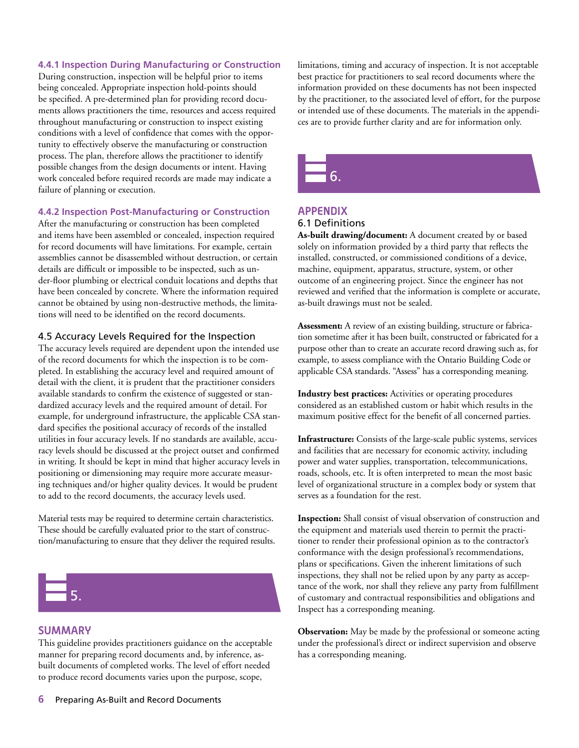#### **4.4.1 Inspection During Manufacturing or Construction**

During construction, inspection will be helpful prior to items being concealed. Appropriate inspection hold-points should be specified. A pre-determined plan for providing record documents allows practitioners the time, resources and access required throughout manufacturing or construction to inspect existing conditions with a level of confidence that comes with the opportunity to effectively observe the manufacturing or construction process. The plan, therefore allows the practitioner to identify possible changes from the design documents or intent. Having work concealed before required records are made may indicate a failure of planning or execution.

#### **4.4.2 Inspection Post-Manufacturing or Construction**

After the manufacturing or construction has been completed and items have been assembled or concealed, inspection required for record documents will have limitations. For example, certain assemblies cannot be disassembled without destruction, or certain details are difficult or impossible to be inspected, such as under-floor plumbing or electrical conduit locations and depths that have been concealed by concrete. Where the information required cannot be obtained by using non-destructive methods, the limitations will need to be identified on the record documents.

#### 4.5 Accuracy Levels Required for the Inspection

The accuracy levels required are dependent upon the intended use of the record documents for which the inspection is to be completed. In establishing the accuracy level and required amount of detail with the client, it is prudent that the practitioner considers available standards to confirm the existence of suggested or standardized accuracy levels and the required amount of detail. For example, for underground infrastructure, the applicable CSA standard specifies the positional accuracy of records of the installed utilities in four accuracy levels. If no standards are available, accuracy levels should be discussed at the project outset and confirmed in writing. It should be kept in mind that higher accuracy levels in positioning or dimensioning may require more accurate measuring techniques and/or higher quality devices. It would be prudent to add to the record documents, the accuracy levels used.

Material tests may be required to determine certain characteristics. These should be carefully evaluated prior to the start of construction/manufacturing to ensure that they deliver the required results.



#### **SUMMARY**

This guideline provides practitioners guidance on the acceptable manner for preparing record documents and, by inference, asbuilt documents of completed works. The level of effort needed to produce record documents varies upon the purpose, scope,

limitations, timing and accuracy of inspection. It is not acceptable best practice for practitioners to seal record documents where the information provided on these documents has not been inspected by the practitioner, to the associated level of effort, for the purpose or intended use of these documents. The materials in the appendices are to provide further clarity and are for information only.

6.

#### **APPENDIX** 6.1 Definitions

**As-built drawing/document:** A document created by or based solely on information provided by a third party that reflects the installed, constructed, or commissioned conditions of a device, machine, equipment, apparatus, structure, system, or other outcome of an engineering project. Since the engineer has not reviewed and verified that the information is complete or accurate, as-built drawings must not be sealed.

**Assessment:** A review of an existing building, structure or fabrication sometime after it has been built, constructed or fabricated for a purpose other than to create an accurate record drawing such as, for example, to assess compliance with the Ontario Building Code or applicable CSA standards. "Assess" has a corresponding meaning.

**Industry best practices:** Activities or operating procedures considered as an established custom or habit which results in the maximum positive effect for the benefit of all concerned parties.

**Infrastructure:** Consists of the large-scale public systems, services and facilities that are necessary for economic activity, including power and water supplies, transportation, telecommunications, roads, schools, etc. It is often interpreted to mean the most basic level of organizational structure in a complex body or system that serves as a foundation for the rest.

**Inspection:** Shall consist of visual observation of construction and the equipment and materials used therein to permit the practitioner to render their professional opinion as to the contractor's conformance with the design professional's recommendations, plans or specifications. Given the inherent limitations of such inspections, they shall not be relied upon by any party as acceptance of the work, nor shall they relieve any party from fulfillment of customary and contractual responsibilities and obligations and Inspect has a corresponding meaning.

**Observation:** May be made by the professional or someone acting under the professional's direct or indirect supervision and observe has a corresponding meaning.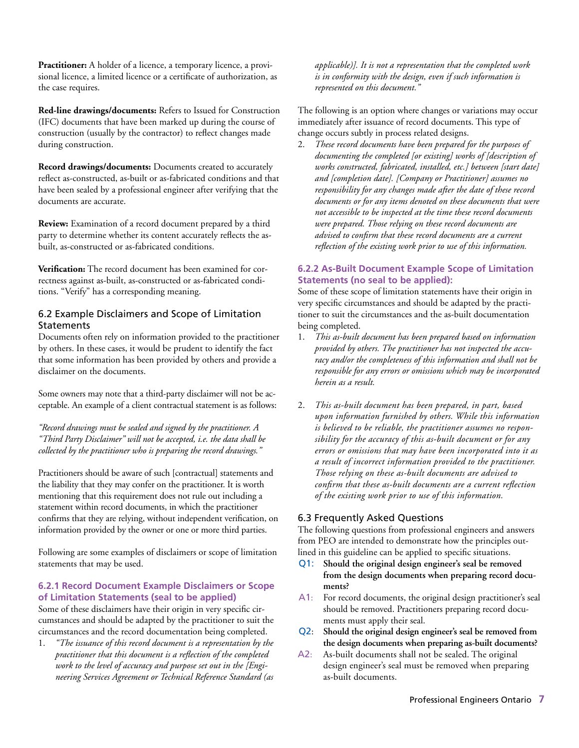**Practitioner:** A holder of a licence, a temporary licence, a provisional licence, a limited licence or a certificate of authorization, as the case requires.

**Red-line drawings/documents:** Refers to Issued for Construction (IFC) documents that have been marked up during the course of construction (usually by the contractor) to reflect changes made during construction.

**Record drawings/documents:** Documents created to accurately reflect as-constructed, as-built or as-fabricated conditions and that have been sealed by a professional engineer after verifying that the documents are accurate.

**Review:** Examination of a record document prepared by a third party to determine whether its content accurately reflects the asbuilt, as-constructed or as-fabricated conditions.

**Verification:** The record document has been examined for correctness against as-built, as-constructed or as-fabricated conditions. "Verify" has a corresponding meaning.

#### 6.2 Example Disclaimers and Scope of Limitation **Statements**

Documents often rely on information provided to the practitioner by others. In these cases, it would be prudent to identify the fact that some information has been provided by others and provide a disclaimer on the documents.

Some owners may note that a third-party disclaimer will not be acceptable. An example of a client contractual statement is as follows:

*"Record drawings must be sealed and signed by the practitioner. A "Third Party Disclaimer" will not be accepted, i.e. the data shall be collected by the practitioner who is preparing the record drawings."*

Practitioners should be aware of such [contractual] statements and the liability that they may confer on the practitioner. It is worth mentioning that this requirement does not rule out including a statement within record documents, in which the practitioner confirms that they are relying, without independent verification, on information provided by the owner or one or more third parties.

Following are some examples of disclaimers or scope of limitation statements that may be used.

#### **6.2.1 Record Document Example Disclaimers or Scope of Limitation Statements (seal to be applied)**

Some of these disclaimers have their origin in very specific circumstances and should be adapted by the practitioner to suit the circumstances and the record documentation being completed.

1. *"The issuance of this record document is a representation by the practitioner that this document is a reflection of the completed work to the level of accuracy and purpose set out in the [Engineering Services Agreement or Technical Reference Standard (as* 

*applicable)]. It is not a representation that the completed work is in conformity with the design, even if such information is represented on this document."*

The following is an option where changes or variations may occur immediately after issuance of record documents. This type of change occurs subtly in process related designs.

2. *These record documents have been prepared for the purposes of documenting the completed [or existing] works of [description of works constructed, fabricated, installed, etc.] between [start date] and [completion date]. [Company or Practitioner] assumes no responsibility for any changes made after the date of these record documents or for any items denoted on these documents that were not accessible to be inspected at the time these record documents were prepared. Those relying on these record documents are advised to confirm that these record documents are a current reflection of the existing work prior to use of this information.*

#### **6.2.2 As-Built Document Example Scope of Limitation Statements (no seal to be applied):**

Some of these scope of limitation statements have their origin in very specific circumstances and should be adapted by the practitioner to suit the circumstances and the as-built documentation being completed.

- 1. *This as-built document has been prepared based on information provided by others. The practitioner has not inspected the accuracy and/or the completeness of this information and shall not be responsible for any errors or omissions which may be incorporated herein as a result.*
- 2. *This as-built document has been prepared, in part, based upon information furnished by others. While this information is believed to be reliable, the practitioner assumes no responsibility for the accuracy of this as-built document or for any errors or omissions that may have been incorporated into it as a result of incorrect information provided to the practitioner. Those relying on these as-built documents are advised to confirm that these as-built documents are a current reflection of the existing work prior to use of this information.*

### 6.3 Frequently Asked Questions

The following questions from professional engineers and answers from PEO are intended to demonstrate how the principles outlined in this guideline can be applied to specific situations.

- Q1: **Should the original design engineer's seal be removed from the design documents when preparing record documents?**
- A1: For record documents, the original design practitioner's seal should be removed. Practitioners preparing record documents must apply their seal.
- Q2: **Should the original design engineer's seal be removed from the design documents when preparing as-built documents?**
- A2: As-built documents shall not be sealed. The original design engineer's seal must be removed when preparing as-built documents.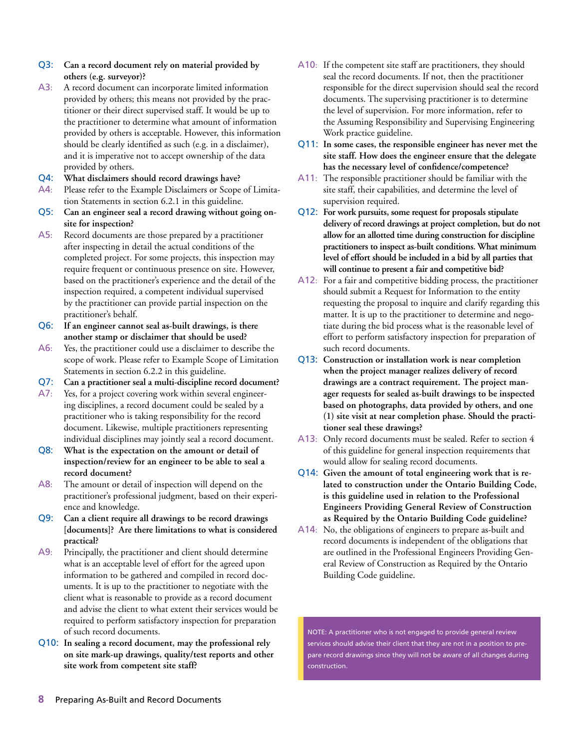- Q3: **Can a record document rely on material provided by others (e.g. surveyor)?**
- A3: A record document can incorporate limited information provided by others; this means not provided by the practitioner or their direct supervised staff. It would be up to the practitioner to determine what amount of information provided by others is acceptable. However, this information should be clearly identified as such (e.g. in a disclaimer), and it is imperative not to accept ownership of the data provided by others.
- Q4: **What disclaimers should record drawings have?**
- A4: Please refer to the Example Disclaimers or Scope of Limitation Statements in section 6.2.1 in this guideline.
- Q5: **Can an engineer seal a record drawing without going onsite for inspection?**
- A5: Record documents are those prepared by a practitioner after inspecting in detail the actual conditions of the completed project. For some projects, this inspection may require frequent or continuous presence on site. However, based on the practitioner's experience and the detail of the inspection required, a competent individual supervised by the practitioner can provide partial inspection on the practitioner's behalf.
- Q6: **If an engineer cannot seal as-built drawings, is there another stamp or disclaimer that should be used?**
- A6: Yes, the practitioner could use a disclaimer to describe the scope of work. Please refer to Example Scope of Limitation Statements in section 6.2.2 in this guideline.
- Q7: **Can a practitioner seal a multi-discipline record document?**
- A7: Yes, for a project covering work within several engineering disciplines, a record document could be sealed by a practitioner who is taking responsibility for the record document. Likewise, multiple practitioners representing individual disciplines may jointly seal a record document.
- Q8: **What is the expectation on the amount or detail of inspection/review for an engineer to be able to seal a record document?**
- A8: The amount or detail of inspection will depend on the practitioner's professional judgment, based on their experience and knowledge.
- Q9: **Can a client require all drawings to be record drawings [documents]? Are there limitations to what is considered practical?**
- A9: Principally, the practitioner and client should determine what is an acceptable level of effort for the agreed upon information to be gathered and compiled in record documents. It is up to the practitioner to negotiate with the client what is reasonable to provide as a record document and advise the client to what extent their services would be required to perform satisfactory inspection for preparation of such record documents.
- Q10: **In sealing a record document, may the professional rely on site mark-up drawings, quality/test reports and other site work from competent site staff?**
- A10: If the competent site staff are practitioners, they should seal the record documents. If not, then the practitioner responsible for the direct supervision should seal the record documents. The supervising practitioner is to determine the level of supervision. For more information, refer to the Assuming Responsibility and Supervising Engineering Work practice guideline.
- Q11: **In some cases, the responsible engineer has never met the site staff. How does the engineer ensure that the delegate has the necessary level of confidence/competence?**
- A11: The responsible practitioner should be familiar with the site staff, their capabilities, and determine the level of supervision required.
- Q12: **For work pursuits, some request for proposals stipulate delivery of record drawings at project completion, but do not allow for an allotted time during construction for discipline practitioners to inspect as-built conditions. What minimum level of effort should be included in a bid by all parties that will continue to present a fair and competitive bid?**
- A12: For a fair and competitive bidding process, the practitioner should submit a Request for Information to the entity requesting the proposal to inquire and clarify regarding this matter. It is up to the practitioner to determine and negotiate during the bid process what is the reasonable level of effort to perform satisfactory inspection for preparation of such record documents.
- Q13: **Construction or installation work is near completion when the project manager realizes delivery of record drawings are a contract requirement. The project manager requests for sealed as-built drawings to be inspected based on photographs, data provided by others, and one (1) site visit at near completion phase. Should the practitioner seal these drawings?**
- A13: Only record documents must be sealed. Refer to section 4 of this guideline for general inspection requirements that would allow for sealing record documents.
- Q14: **Given the amount of total engineering work that is related to construction under the Ontario Building Code, is this guideline used in relation to the Professional Engineers Providing General Review of Construction as Required by the Ontario Building Code guideline?**
- A14: No, the obligations of engineers to prepare as-built and record documents is independent of the obligations that are outlined in the Professional Engineers Providing General Review of Construction as Required by the Ontario Building Code guideline.

NOTE: A practitioner who is not engaged to provide general review services should advise their client that they are not in a position to prepare record drawings since they will not be aware of all changes during construction.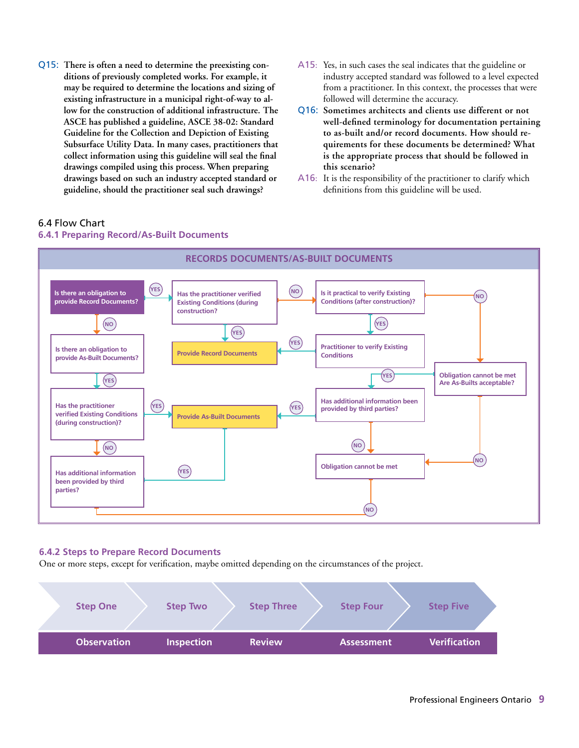- Q15: **There is often a need to determine the preexisting conditions of previously completed works. For example, it may be required to determine the locations and sizing of existing infrastructure in a municipal right-of-way to allow for the construction of additional infrastructure. The ASCE has published a guideline, ASCE 38-02: Standard Guideline for the Collection and Depiction of Existing Subsurface Utility Data. In many cases, practitioners that collect information using this guideline will seal the final drawings compiled using this process. When preparing drawings based on such an industry accepted standard or guideline, should the practitioner seal such drawings?**
- A15: Yes, in such cases the seal indicates that the guideline or industry accepted standard was followed to a level expected from a practitioner. In this context, the processes that were followed will determine the accuracy.
- Q16: **Sometimes architects and clients use different or not well-defined terminology for documentation pertaining to as-built and/or record documents. How should requirements for these documents be determined? What is the appropriate process that should be followed in this scenario?**
- A16: It is the responsibility of the practitioner to clarify which definitions from this guideline will be used.

#### 6.4 Flow Chart

#### **6.4.1 Preparing Record/As-Built Documents**



#### **6.4.2 Steps to Prepare Record Documents**

One or more steps, except for verification, maybe omitted depending on the circumstances of the project.

| <b>Step One</b>    | <b>Step Two</b>   | <b>Step Three</b> | <b>Step Four</b>  | <b>Step Five</b>    |
|--------------------|-------------------|-------------------|-------------------|---------------------|
| <b>Observation</b> | <b>Inspection</b> | <b>Review</b>     | <b>Assessment</b> | <b>Verification</b> |